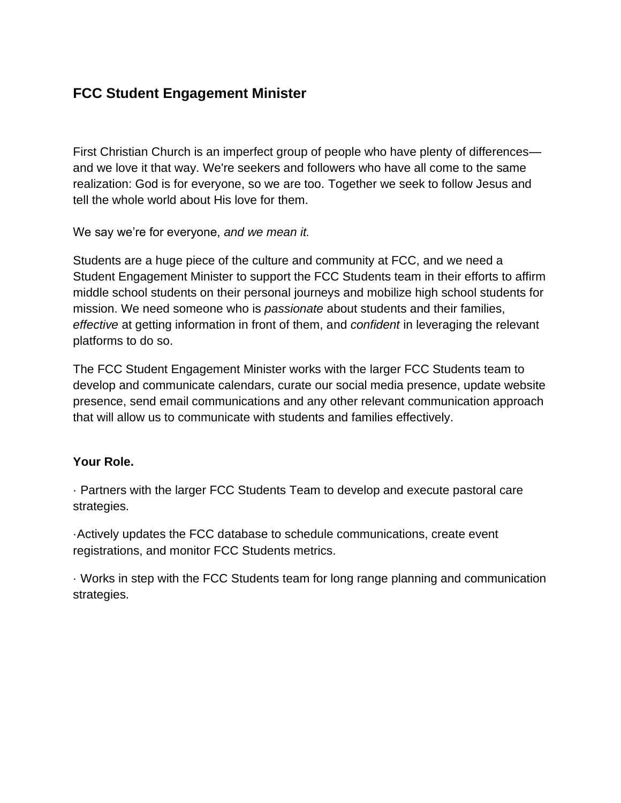# **FCC Student Engagement Minister**

First Christian Church is an imperfect group of people who have plenty of differences and we love it that way. We're seekers and followers who have all come to the same realization: God is for everyone, so we are too. Together we seek to follow Jesus and tell the whole world about His love for them.

We say we're for everyone, *and we mean it.*

Students are a huge piece of the culture and community at FCC, and we need a Student Engagement Minister to support the FCC Students team in their efforts to affirm middle school students on their personal journeys and mobilize high school students for mission. We need someone who is *passionate* about students and their families, *effective* at getting information in front of them, and *confident* in leveraging the relevant platforms to do so.

The FCC Student Engagement Minister works with the larger FCC Students team to develop and communicate calendars, curate our social media presence, update website presence, send email communications and any other relevant communication approach that will allow us to communicate with students and families effectively.

#### **Your Role.**

· Partners with the larger FCC Students Team to develop and execute pastoral care strategies.

·Actively updates the FCC database to schedule communications, create event registrations, and monitor FCC Students metrics.

· Works in step with the FCC Students team for long range planning and communication strategies.